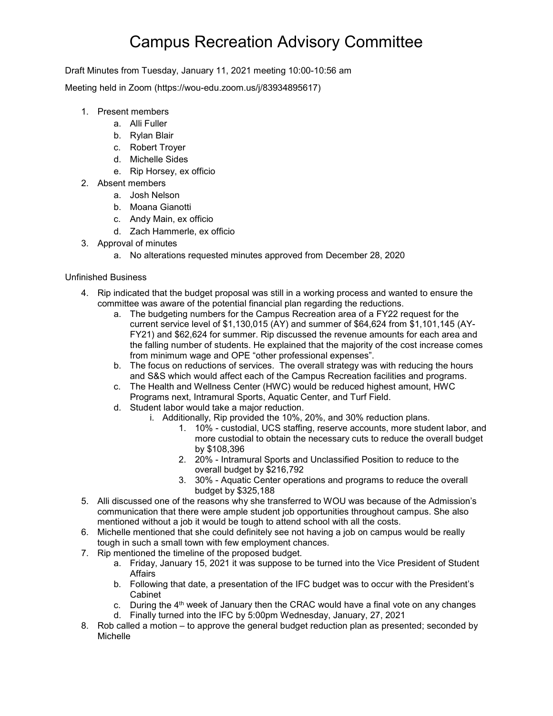## Campus Recreation Advisory Committee

Draft Minutes from Tuesday, January 11, 2021 meeting 10:00-10:56 am

Meeting held in Zoom (https://wou-edu.zoom.us/j/83934895617)

- 1. Present members
	- a. Alli Fuller
	- b. Rylan Blair
	- c. Robert Troyer
	- d. Michelle Sides
	- e. Rip Horsey, ex officio
- 2. Absent members
	- a. Josh Nelson
	- b. Moana Gianotti
	- c. Andy Main, ex officio
	- d. Zach Hammerle, ex officio
- 3. Approval of minutes
	- a. No alterations requested minutes approved from December 28, 2020

## Unfinished Business

- 4. Rip indicated that the budget proposal was still in a working process and wanted to ensure the committee was aware of the potential financial plan regarding the reductions.
	- a. The budgeting numbers for the Campus Recreation area of a FY22 request for the current service level of \$1,130,015 (AY) and summer of \$64,624 from \$1,101,145 (AY-FY21) and \$62,624 for summer. Rip discussed the revenue amounts for each area and the falling number of students. He explained that the majority of the cost increase comes from minimum wage and OPE "other professional expenses".
	- b. The focus on reductions of services. The overall strategy was with reducing the hours and S&S which would affect each of the Campus Recreation facilities and programs.
	- c. The Health and Wellness Center (HWC) would be reduced highest amount, HWC Programs next, Intramural Sports, Aquatic Center, and Turf Field.
	- d. Student labor would take a major reduction.
		- i. Additionally, Rip provided the 10%, 20%, and 30% reduction plans.
			- 1. 10% custodial, UCS staffing, reserve accounts, more student labor, and more custodial to obtain the necessary cuts to reduce the overall budget by \$108,396
			- 2. 20% Intramural Sports and Unclassified Position to reduce to the overall budget by \$216,792
			- 3. 30% Aquatic Center operations and programs to reduce the overall budget by \$325,188
- 5. Alli discussed one of the reasons why she transferred to WOU was because of the Admission's communication that there were ample student job opportunities throughout campus. She also mentioned without a job it would be tough to attend school with all the costs.
- 6. Michelle mentioned that she could definitely see not having a job on campus would be really tough in such a small town with few employment chances.
- 7. Rip mentioned the timeline of the proposed budget.
	- a. Friday, January 15, 2021 it was suppose to be turned into the Vice President of Student **Affairs**
	- b. Following that date, a presentation of the IFC budget was to occur with the President's Cabinet
	- c. During the  $4<sup>th</sup>$  week of January then the CRAC would have a final vote on any changes d. Finally turned into the IFC by 5:00pm Wednesday, January, 27, 2021
- 8. Rob called a motion to approve the general budget reduction plan as presented; seconded by Michelle